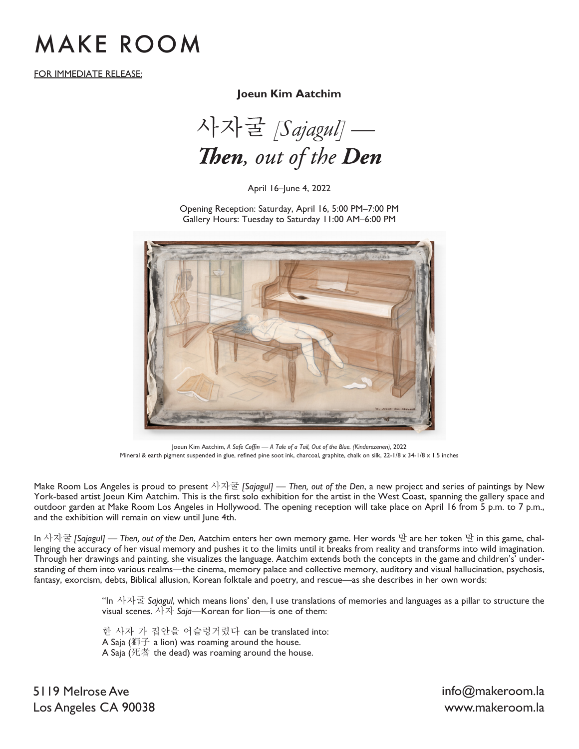## MAKE ROOM

FOR IMMEDIATE RELEASE:

### **Joeun Kim Aatchim**

사자굴 [Sajagul] — Then, out of the Den

April 16–June 4, 2022

Opening Reception: Saturday, April 16, 5:00 PM–7:00 PM Gallery Hours: Tuesday to Saturday 11:00 AM–6:00 PM



Joeun Kim Aatchim, *A Safe Coffin — A Tale of a Tail, Out of the Blue. (Kinderszenen),* 2022 Mineral & earth pigment suspended in glue, refined pine soot ink, charcoal, graphite, chalk on silk, 22-1/8 x 34-1/8 x 1.5 inches

Make Room Los Angeles is proud to present 사자굴 *[Sajagul] — Then, out of the Den*, a new project and series of paintings by New York-based artist Joeun Kim Aatchim. This is the first solo exhibition for the artist in the West Coast, spanning the gallery space and outdoor garden at Make Room Los Angeles in Hollywood. The opening reception will take place on April 16 from 5 p.m. to 7 p.m., and the exhibition will remain on view until June 4th.

In 사자굴 *[Sajagul] — Then, out of the Den*, Aatchim enters her own memory game. Her words 말 are her token 말 in this game, challenging the accuracy of her visual memory and pushes it to the limits until it breaks from reality and transforms into wild imagination. Through her drawings and painting, she visualizes the language. Aatchim extends both the concepts in the game and children's' understanding of them into various realms—the cinema, memory palace and collective memory, auditory and visual hallucination, psychosis, fantasy, exorcism, debts, Biblical allusion, Korean folktale and poetry, and rescue—as she describes in her own words:

> "In 사자굴 *Sajagul*, which means lions' den, I use translations of memories and languages as a pillar to structure the visual scenes.  $\lambda$ <sup>[ $\lambda$ ]</sup> *Saja*—Korean for lion—is one of them:

한 사자 가 집안을 어슬렁거렸다 can be translated into: A Saja ( $\mathfrak{m}$  $\div$  a lion) was roaming around the house. A Saja (死者 the dead) was roaming around the house.

5119 Melrose Ave Los Angeles CA 90038 www.makeroom.la

info@makeroom.la